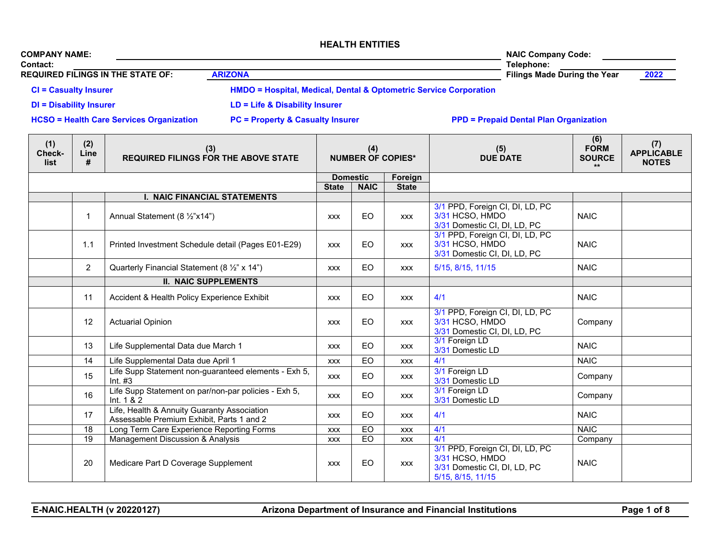| <b>COMPANY NAME:</b>                     | <b>NAIC Company Code:</b>                                                    |                                     |               |
|------------------------------------------|------------------------------------------------------------------------------|-------------------------------------|---------------|
| <b>Contact:</b>                          |                                                                              | Telephone:                          |               |
| <b>REQUIRED FILINGS IN THE STATE OF:</b> | <b>ARIZONA</b>                                                               | <b>Filings Made During the Year</b> | <u> 2022 </u> |
| <b>CI</b> = Casualty Insurer             | <b>HMDO = Hospital, Medical, Dental &amp; Optometric Service Corporation</b> |                                     |               |
| <b>DI = Disability Insurer</b>           | LD = Life & Disability Insurer                                               |                                     |               |

**HCSO = Health Care Services Organization PC = Property & Casualty Insurer PPD = Prepaid Dental Plan Organization**

| (1)<br><b>Check-</b><br>list | (2)<br>Line<br># | (3)<br><b>REQUIRED FILINGS FOR THE ABOVE STATE</b>                                       | (4)<br><b>NUMBER OF COPIES*</b> |                 |              | (5)<br><b>DUE DATE</b>                                                                                  | (6)<br><b>FORM</b><br><b>SOURCE</b><br>$\star\star$ | (7)<br><b>APPLICABLE</b><br><b>NOTES</b> |
|------------------------------|------------------|------------------------------------------------------------------------------------------|---------------------------------|-----------------|--------------|---------------------------------------------------------------------------------------------------------|-----------------------------------------------------|------------------------------------------|
|                              |                  |                                                                                          |                                 | <b>Domestic</b> | Foreign      |                                                                                                         |                                                     |                                          |
|                              |                  |                                                                                          | <b>State</b>                    | <b>NAIC</b>     | <b>State</b> |                                                                                                         |                                                     |                                          |
|                              |                  | <b>I. NAIC FINANCIAL STATEMENTS</b>                                                      |                                 |                 |              |                                                                                                         |                                                     |                                          |
|                              | $\mathbf{1}$     | Annual Statement (8 1/2"x14")                                                            | <b>XXX</b>                      | EO              | <b>XXX</b>   | 3/1 PPD, Foreign CI, DI, LD, PC<br>3/31 HCSO, HMDO<br>3/31 Domestic CI, DI, LD, PC                      | <b>NAIC</b>                                         |                                          |
|                              | 1.1              | Printed Investment Schedule detail (Pages E01-E29)                                       | <b>XXX</b>                      | EO              | <b>XXX</b>   | 3/1 PPD, Foreign CI, DI, LD, PC<br>3/31 HCSO, HMDO<br>3/31 Domestic CI, DI, LD, PC                      | <b>NAIC</b>                                         |                                          |
|                              | $\overline{2}$   | Quarterly Financial Statement (8 1/2" x 14")                                             | <b>XXX</b>                      | <b>EO</b>       | <b>XXX</b>   | 5/15, 8/15, 11/15                                                                                       | <b>NAIC</b>                                         |                                          |
|                              |                  | <b>II. NAIC SUPPLEMENTS</b>                                                              |                                 |                 |              |                                                                                                         |                                                     |                                          |
|                              | 11               | Accident & Health Policy Experience Exhibit                                              | <b>XXX</b>                      | EO              | <b>XXX</b>   | 4/1                                                                                                     | <b>NAIC</b>                                         |                                          |
|                              | 12               | <b>Actuarial Opinion</b>                                                                 | <b>XXX</b>                      | EO              | <b>XXX</b>   | 3/1 PPD, Foreign CI, DI, LD, PC<br>3/31 HCSO, HMDO<br>3/31 Domestic CI, DI, LD, PC                      | Company                                             |                                          |
|                              | 13               | Life Supplemental Data due March 1                                                       | <b>XXX</b>                      | EO              | <b>XXX</b>   | 3/1 Foreign LD<br>3/31 Domestic LD                                                                      | <b>NAIC</b>                                         |                                          |
|                              | 14               | Life Supplemental Data due April 1                                                       | <b>XXX</b>                      | <b>EO</b>       | <b>XXX</b>   | 4/1                                                                                                     | <b>NAIC</b>                                         |                                          |
|                              | 15               | Life Supp Statement non-guaranteed elements - Exh 5,<br>Int. $#3$                        | <b>XXX</b>                      | <b>EO</b>       | <b>XXX</b>   | 3/1 Foreign LD<br>3/31 Domestic LD                                                                      | Company                                             |                                          |
|                              | 16               | Life Supp Statement on par/non-par policies - Exh 5,<br>Int. $1 & 2$                     | <b>XXX</b>                      | EO              | <b>XXX</b>   | 3/1 Foreign LD<br>3/31 Domestic LD                                                                      | Company                                             |                                          |
|                              | 17               | Life, Health & Annuity Guaranty Association<br>Assessable Premium Exhibit, Parts 1 and 2 | <b>XXX</b>                      | EO              | <b>XXX</b>   | 4/1                                                                                                     | <b>NAIC</b>                                         |                                          |
|                              | 18               | Long Term Care Experience Reporting Forms                                                | <b>XXX</b>                      | <b>EO</b>       | <b>XXX</b>   | 4/1                                                                                                     | <b>NAIC</b>                                         |                                          |
|                              | 19               | Management Discussion & Analysis                                                         | <b>XXX</b>                      | EO              | <b>XXX</b>   | 4/1                                                                                                     | Company                                             |                                          |
|                              | 20               | Medicare Part D Coverage Supplement                                                      | <b>XXX</b>                      | EO              | <b>XXX</b>   | 3/1 PPD, Foreign CI, DI, LD, PC<br>3/31 HCSO, HMDO<br>3/31 Domestic CI, DI, LD, PC<br>5/15, 8/15, 11/15 | <b>NAIC</b>                                         |                                          |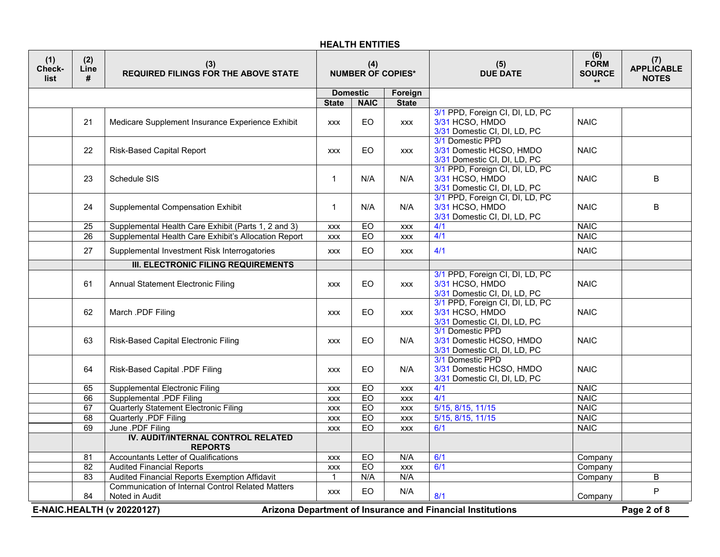| (1)<br>Check-<br>list | (2)<br>Line<br>#                                                                                               | (3)<br><b>REQUIRED FILINGS FOR THE ABOVE STATE</b>                         | (4)<br><b>NUMBER OF COPIES*</b> |             |              | (5)<br><b>DUE DATE</b>                                                             | (6)<br><b>FORM</b><br><b>SOURCE</b><br>$\star\star$ | (7)<br><b>APPLICABLE</b><br><b>NOTES</b> |
|-----------------------|----------------------------------------------------------------------------------------------------------------|----------------------------------------------------------------------------|---------------------------------|-------------|--------------|------------------------------------------------------------------------------------|-----------------------------------------------------|------------------------------------------|
|                       |                                                                                                                |                                                                            | <b>Domestic</b><br>Foreign      |             |              |                                                                                    |                                                     |                                          |
|                       |                                                                                                                |                                                                            | <b>State</b>                    | <b>NAIC</b> | <b>State</b> |                                                                                    |                                                     |                                          |
|                       | 21                                                                                                             | Medicare Supplement Insurance Experience Exhibit                           | <b>XXX</b>                      | EO          | <b>XXX</b>   | 3/1 PPD, Foreign CI, DI, LD, PC<br>3/31 HCSO, HMDO<br>3/31 Domestic CI, DI, LD, PC | <b>NAIC</b>                                         |                                          |
|                       | 22                                                                                                             | <b>Risk-Based Capital Report</b>                                           | <b>XXX</b>                      | EO          | <b>XXX</b>   | 3/1 Domestic PPD<br>3/31 Domestic HCSO, HMDO<br>3/31 Domestic CI, DI, LD, PC       | <b>NAIC</b>                                         |                                          |
|                       | 23                                                                                                             | Schedule SIS                                                               | $\mathbf{1}$                    | N/A         | N/A          | 3/1 PPD, Foreign CI, DI, LD, PC<br>3/31 HCSO, HMDO<br>3/31 Domestic CI, DI, LD, PC | <b>NAIC</b>                                         | B                                        |
|                       | 24                                                                                                             | Supplemental Compensation Exhibit                                          | $\mathbf{1}$                    | N/A         | N/A          | 3/1 PPD, Foreign CI, DI, LD, PC<br>3/31 HCSO, HMDO<br>3/31 Domestic CI, DI, LD, PC | <b>NAIC</b>                                         | B                                        |
|                       | $\overline{25}$                                                                                                | Supplemental Health Care Exhibit (Parts 1, 2 and 3)                        | <b>XXX</b>                      | EO          | <b>XXX</b>   | 4/1                                                                                | <b>NAIC</b>                                         |                                          |
|                       | $\overline{26}$                                                                                                | Supplemental Health Care Exhibit's Allocation Report                       | <b>XXX</b>                      | EO          | <b>XXX</b>   | 4/1                                                                                | <b>NAIC</b>                                         |                                          |
|                       | 27                                                                                                             | Supplemental Investment Risk Interrogatories                               | <b>XXX</b>                      | EO          | <b>XXX</b>   | 4/1                                                                                | <b>NAIC</b>                                         |                                          |
|                       |                                                                                                                | <b>III. ELECTRONIC FILING REQUIREMENTS</b>                                 |                                 |             |              |                                                                                    |                                                     |                                          |
|                       | 61                                                                                                             | Annual Statement Electronic Filing                                         | <b>XXX</b>                      | EO          | <b>XXX</b>   | 3/1 PPD, Foreign CI, DI, LD, PC<br>3/31 HCSO, HMDO<br>3/31 Domestic CI, DI, LD, PC | <b>NAIC</b>                                         |                                          |
|                       | 62                                                                                                             | March .PDF Filing                                                          | <b>XXX</b>                      | EO          | <b>XXX</b>   | 3/1 PPD, Foreign CI, DI, LD, PC<br>3/31 HCSO, HMDO<br>3/31 Domestic CI, DI, LD, PC | <b>NAIC</b>                                         |                                          |
|                       | 63                                                                                                             | Risk-Based Capital Electronic Filing                                       | <b>XXX</b>                      | EO.         | N/A          | 3/1 Domestic PPD<br>3/31 Domestic HCSO, HMDO<br>3/31 Domestic CI, DI, LD, PC       | <b>NAIC</b>                                         |                                          |
|                       | 64                                                                                                             | Risk-Based Capital .PDF Filing                                             | <b>XXX</b>                      | EO.         | N/A          | 3/1 Domestic PPD<br>3/31 Domestic HCSO, HMDO<br>3/31 Domestic CI, DI, LD, PC       | <b>NAIC</b>                                         |                                          |
|                       | 65                                                                                                             | <b>Supplemental Electronic Filing</b>                                      | <b>XXX</b>                      | EO          | <b>XXX</b>   | 4/1                                                                                | <b>NAIC</b>                                         |                                          |
|                       | 66                                                                                                             | <b>Supplemental .PDF Filing</b>                                            | <b>XXX</b>                      | EO          | <b>XXX</b>   | 4/1                                                                                | <b>NAIC</b>                                         |                                          |
|                       | 67                                                                                                             | <b>Quarterly Statement Electronic Filing</b>                               | <b>XXX</b>                      | EO          | <b>XXX</b>   | 5/15, 8/15, 11/15                                                                  | <b>NAIC</b>                                         |                                          |
|                       | 68                                                                                                             | Quarterly .PDF Filing                                                      | <b>XXX</b>                      | EO          | <b>XXX</b>   | 5/15, 8/15, 11/15                                                                  | <b>NAIC</b>                                         |                                          |
|                       | 69                                                                                                             | June .PDF Filing                                                           | <b>XXX</b>                      | EO          | <b>XXX</b>   | 6/1                                                                                | <b>NAIC</b>                                         |                                          |
|                       |                                                                                                                | IV. AUDIT/INTERNAL CONTROL RELATED<br><b>REPORTS</b>                       |                                 |             |              |                                                                                    |                                                     |                                          |
|                       | $\overline{81}$                                                                                                | <b>Accountants Letter of Qualifications</b>                                | <b>XXX</b>                      | EO          | N/A          | 6/1                                                                                | Company                                             |                                          |
|                       | $\overline{82}$                                                                                                | <b>Audited Financial Reports</b>                                           | <b>XXX</b>                      | EO          | <b>XXX</b>   | 6/1                                                                                | Company                                             |                                          |
|                       | $\overline{83}$                                                                                                | Audited Financial Reports Exemption Affidavit                              | $\mathbf{1}$                    | N/A         | N/A          |                                                                                    | Company                                             | B                                        |
|                       | 84                                                                                                             | <b>Communication of Internal Control Related Matters</b><br>Noted in Audit | <b>XXX</b>                      | EO          | N/A          | 8/1                                                                                | Company                                             | P                                        |
|                       | Page 2 of 8<br><b>E-NAIC.HEALTH (v 20220127)</b><br>Arizona Department of Insurance and Financial Institutions |                                                                            |                                 |             |              |                                                                                    |                                                     |                                          |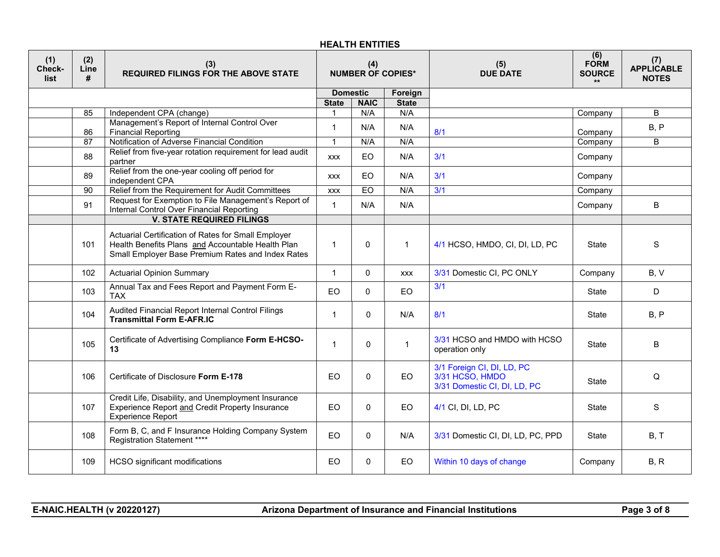| (1)<br>Check-<br>list | (2)<br>Line<br># | (3)<br><b>REQUIRED FILINGS FOR THE ABOVE STATE</b>                                                                                                            |                             | (4)          | <b>NUMBER OF COPIES*</b> | (5)<br><b>DUE DATE</b>                                                        | (6)<br><b>FORM</b><br><b>SOURCE</b><br>$\star\star$ | (7)<br><b>APPLICABLE</b><br><b>NOTES</b> |
|-----------------------|------------------|---------------------------------------------------------------------------------------------------------------------------------------------------------------|-----------------------------|--------------|--------------------------|-------------------------------------------------------------------------------|-----------------------------------------------------|------------------------------------------|
|                       |                  |                                                                                                                                                               | <b>Domestic</b>             | <b>NAIC</b>  | Foreign                  |                                                                               |                                                     |                                          |
|                       | 85               | Independent CPA (change)                                                                                                                                      | <b>State</b><br>$\mathbf 1$ | N/A          | <b>State</b><br>N/A      |                                                                               | Company                                             | B                                        |
|                       |                  | Management's Report of Internal Control Over                                                                                                                  |                             |              |                          |                                                                               |                                                     |                                          |
|                       | 86               | <b>Financial Reporting</b>                                                                                                                                    | $\mathbf{1}$                | N/A          | N/A                      | 8/1                                                                           | Company                                             | B, P                                     |
|                       | 87               | Notification of Adverse Financial Condition                                                                                                                   | $\mathbf{1}$                | N/A          | N/A                      |                                                                               | Company                                             | B                                        |
|                       | 88               | Relief from five-year rotation requirement for lead audit<br>partner                                                                                          | <b>XXX</b>                  | <b>EO</b>    | N/A                      | 3/1                                                                           | Company                                             |                                          |
|                       | 89               | Relief from the one-year cooling off period for<br>independent CPA                                                                                            | <b>XXX</b>                  | <b>EO</b>    | N/A                      | 3/1                                                                           | Company                                             |                                          |
|                       | 90               | Relief from the Requirement for Audit Committees                                                                                                              | <b>XXX</b>                  | EO           | N/A                      | 3/1                                                                           | Company                                             |                                          |
|                       | 91               | Request for Exemption to File Management's Report of<br>Internal Control Over Financial Reporting                                                             | $\mathbf{1}$                | N/A          | N/A                      |                                                                               | Company                                             | B                                        |
|                       |                  | <b>V. STATE REQUIRED FILINGS</b>                                                                                                                              |                             |              |                          |                                                                               |                                                     |                                          |
|                       | 101              | Actuarial Certification of Rates for Small Employer<br>Health Benefits Plans and Accountable Health Plan<br>Small Employer Base Premium Rates and Index Rates | $\mathbf{1}$                | $\mathbf{0}$ | $\mathbf{1}$             | 4/1 HCSO, HMDO, CI, DI, LD, PC                                                | <b>State</b>                                        | S                                        |
|                       | 102              | <b>Actuarial Opinion Summary</b>                                                                                                                              | $\mathbf{1}$                | $\mathbf 0$  | <b>XXX</b>               | 3/31 Domestic CI, PC ONLY                                                     | Company                                             | B, V                                     |
|                       | 103              | Annual Tax and Fees Report and Payment Form E-<br><b>TAX</b>                                                                                                  | EO                          | $\mathbf{0}$ | <b>EO</b>                | 3/1                                                                           | <b>State</b>                                        | D                                        |
|                       | 104              | Audited Financial Report Internal Control Filings<br><b>Transmittal Form E-AFR.IC</b>                                                                         | $\mathbf{1}$                | $\mathbf 0$  | N/A                      | 8/1                                                                           | <b>State</b>                                        | B, P                                     |
|                       | 105              | Certificate of Advertising Compliance Form E-HCSO-<br>13                                                                                                      | $\mathbf{1}$                | $\mathbf 0$  | $\mathbf{1}$             | 3/31 HCSO and HMDO with HCSO<br>operation only                                | State                                               | B                                        |
|                       | 106              | Certificate of Disclosure Form E-178                                                                                                                          | EO                          | 0            | EO                       | 3/1 Foreign CI, DI, LD, PC<br>3/31 HCSO, HMDO<br>3/31 Domestic CI, DI, LD, PC | <b>State</b>                                        | Q                                        |
|                       | 107              | Credit Life, Disability, and Unemployment Insurance<br>Experience Report and Credit Property Insurance<br><b>Experience Report</b>                            | <b>EO</b>                   | $\mathbf 0$  | EO.                      | 4/1 CI, DI, LD, PC                                                            | <b>State</b>                                        | S                                        |
|                       | 108              | Form B, C, and F Insurance Holding Company System<br>Registration Statement ****                                                                              | EO                          | $\mathbf 0$  | N/A                      | 3/31 Domestic CI, DI, LD, PC, PPD                                             | <b>State</b>                                        | B, T                                     |
|                       | 109              | <b>HCSO</b> significant modifications                                                                                                                         | EO                          | $\Omega$     | EO                       | Within 10 days of change                                                      | Company                                             | B, R                                     |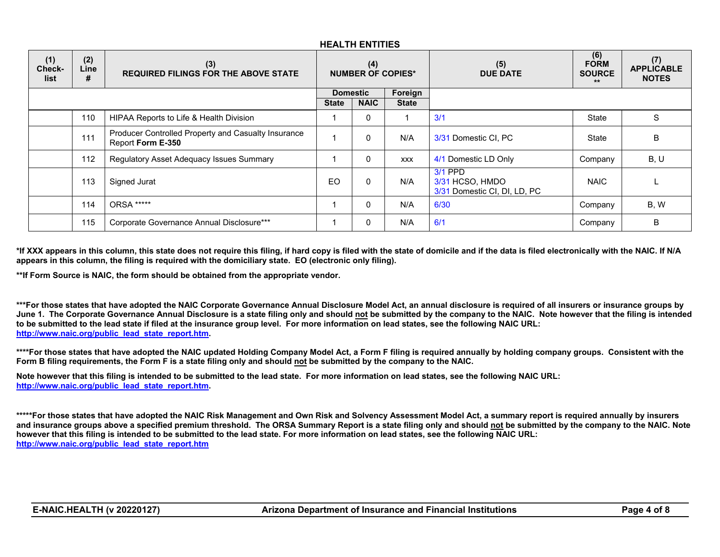| (1)<br>Check-<br>list | (2)<br>Line<br># | (3)<br><b>REQUIRED FILINGS FOR THE ABOVE STATE</b>                       | (4)<br><b>NUMBER OF COPIES*</b> |              |              | (5)<br><b>DUE DATE</b>                                       | (6)<br><b>FORM</b><br><b>SOURCE</b><br>$***$ | (7)<br><b>APPLICABLE</b><br><b>NOTES</b> |
|-----------------------|------------------|--------------------------------------------------------------------------|---------------------------------|--------------|--------------|--------------------------------------------------------------|----------------------------------------------|------------------------------------------|
|                       |                  |                                                                          | Foreign<br><b>Domestic</b>      |              |              |                                                              |                                              |                                          |
|                       |                  |                                                                          | <b>State</b>                    | <b>NAIC</b>  | <b>State</b> |                                                              |                                              |                                          |
|                       | 110              | HIPAA Reports to Life & Health Division                                  |                                 | $\Omega$     |              | 3/1                                                          | State                                        | S                                        |
|                       | 111              | Producer Controlled Property and Casualty Insurance<br>Report Form E-350 |                                 | $\Omega$     | N/A          | 3/31 Domestic CI, PC                                         | State                                        | B                                        |
|                       | 112              | Regulatory Asset Adequacy Issues Summary                                 |                                 | $\Omega$     | <b>XXX</b>   | 4/1 Domestic LD Only                                         | Company                                      | B, U                                     |
|                       | 113              | Signed Jurat                                                             | E <sub>O</sub>                  | $\mathbf{0}$ | N/A          | $3/1$ PPD<br>3/31 HCSO, HMDO<br>3/31 Domestic CI, DI, LD, PC | <b>NAIC</b>                                  |                                          |
|                       | 114              | ORSA *****                                                               |                                 | $\Omega$     | N/A          | 6/30                                                         | Company                                      | B, W                                     |
|                       | 115              | Corporate Governance Annual Disclosure***                                |                                 | 0            | N/A          | 6/1                                                          | Company                                      | B                                        |

**\*If XXX appears in this column, this state does not require this filing, if hard copy is filed with the state of domicile and if the data is filed electronically with the NAIC. If N/A appears in this column, the filing is required with the domiciliary state. EO (electronic only filing).**

**\*\*If Form Source is NAIC, the form should be obtained from the appropriate vendor.**

**\*\*\*For those states that have adopted the NAIC Corporate Governance Annual Disclosure Model Act, an annual disclosure is required of all insurers or insurance groups by June 1. The Corporate Governance Annual Disclosure is a state filing only and should not be submitted by the company to the NAIC. Note however that the filing is intended to be submitted to the lead state if filed at the insurance group level. For more information on lead states, see the following NAIC URL: [http://www.naic.org/public\\_lead\\_state\\_report.htm.](http://www.naic.org/public_lead_state_report.htm)**

**\*\*\*\*For those states that have adopted the NAIC updated Holding Company Model Act, a Form F filing is required annually by holding company groups. Consistent with the Form B filing requirements, the Form F is a state filing only and should not be submitted by the company to the NAIC.**

**Note however that this filing is intended to be submitted to the lead state. For more information on lead states, see the following NAIC URL: [http://www.naic.org/public\\_lead\\_state\\_report.htm.](http://www.naic.org/public_lead_state_report.htm)**

**\*\*\*\*\*For those states that have adopted the NAIC Risk Management and Own Risk and Solvency Assessment Model Act, a summary report is required annually by insurers and insurance groups above a specified premium threshold. The ORSA Summary Report is a state filing only and should not be submitted by the company to the NAIC. Note however that this filing is intended to be submitted to the lead state. For more information on lead states, see the following NAIC URL: [http://www.naic.org/public\\_lead\\_state\\_report.htm](http://www.naic.org/public_lead_state_report.htm)**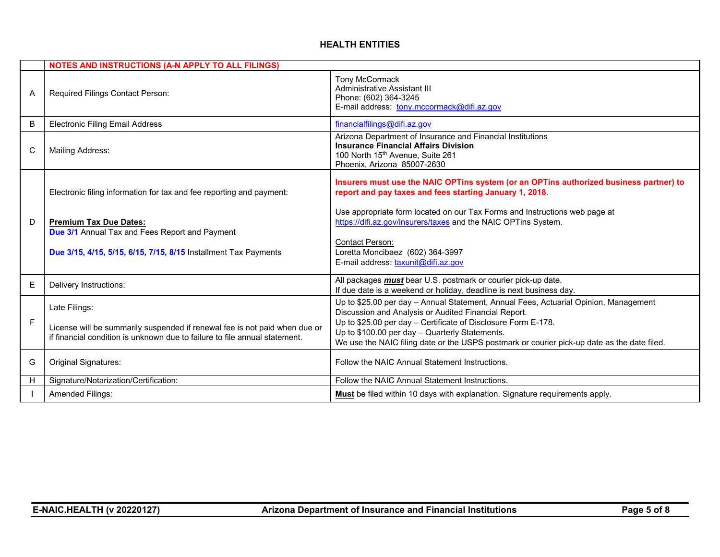|   | <b>NOTES AND INSTRUCTIONS (A-N APPLY TO ALL FILINGS)</b>                                                                                                                  |                                                                                                                                                                                                                                                                                                                                                                |  |  |  |  |
|---|---------------------------------------------------------------------------------------------------------------------------------------------------------------------------|----------------------------------------------------------------------------------------------------------------------------------------------------------------------------------------------------------------------------------------------------------------------------------------------------------------------------------------------------------------|--|--|--|--|
| A | Required Filings Contact Person:                                                                                                                                          | <b>Tony McCormack</b><br>Administrative Assistant III<br>Phone: (602) 364-3245<br>E-mail address: tony.mccormack@difi.az.gov                                                                                                                                                                                                                                   |  |  |  |  |
| B | <b>Electronic Filing Email Address</b>                                                                                                                                    | financialfilings@difi.az.gov                                                                                                                                                                                                                                                                                                                                   |  |  |  |  |
| C | Mailing Address:                                                                                                                                                          | Arizona Department of Insurance and Financial Institutions<br><b>Insurance Financial Affairs Division</b><br>100 North 15th Avenue, Suite 261<br>Phoenix, Arizona 85007-2630                                                                                                                                                                                   |  |  |  |  |
|   | Electronic filing information for tax and fee reporting and payment:                                                                                                      | Insurers must use the NAIC OPTins system (or an OPTins authorized business partner) to<br>report and pay taxes and fees starting January 1, 2018.                                                                                                                                                                                                              |  |  |  |  |
| D | <b>Premium Tax Due Dates:</b><br><b>Due 3/1</b> Annual Tax and Fees Report and Payment<br>Due 3/15, 4/15, 5/15, 6/15, 7/15, 8/15 Installment Tax Payments                 | Use appropriate form located on our Tax Forms and Instructions web page at<br>https://difi.az.gov/insurers/taxes and the NAIC OPTins System.<br>Contact Person:<br>Loretta Moncibaez (602) 364-3997<br>E-mail address: taxunit@difi.az.gov                                                                                                                     |  |  |  |  |
| E | Delivery Instructions:                                                                                                                                                    | All packages <i>must</i> bear U.S. postmark or courier pick-up date.<br>If due date is a weekend or holiday, deadline is next business day.                                                                                                                                                                                                                    |  |  |  |  |
| F | Late Filings:<br>License will be summarily suspended if renewal fee is not paid when due or<br>if financial condition is unknown due to failure to file annual statement. | Up to \$25.00 per day - Annual Statement, Annual Fees, Actuarial Opinion, Management<br>Discussion and Analysis or Audited Financial Report.<br>Up to \$25.00 per day - Certificate of Disclosure Form E-178.<br>Up to \$100.00 per day - Quarterly Statements.<br>We use the NAIC filing date or the USPS postmark or courier pick-up date as the date filed. |  |  |  |  |
| G | Original Signatures:                                                                                                                                                      | Follow the NAIC Annual Statement Instructions.                                                                                                                                                                                                                                                                                                                 |  |  |  |  |
| Н | Signature/Notarization/Certification:                                                                                                                                     | Follow the NAIC Annual Statement Instructions.                                                                                                                                                                                                                                                                                                                 |  |  |  |  |
|   | Amended Filings:                                                                                                                                                          | <b>Must</b> be filed within 10 days with explanation. Signature requirements apply.                                                                                                                                                                                                                                                                            |  |  |  |  |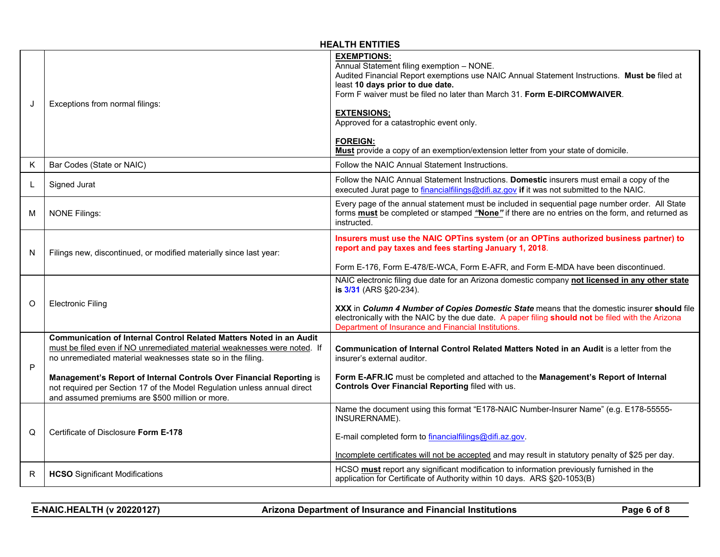|   |                                                                                                                                                                                                                                                                                                                                                                                                                       | <b>HEALTH ENTITIES</b>                                                                                                                                                                                                                                                                                                                                                                                                                                   |
|---|-----------------------------------------------------------------------------------------------------------------------------------------------------------------------------------------------------------------------------------------------------------------------------------------------------------------------------------------------------------------------------------------------------------------------|----------------------------------------------------------------------------------------------------------------------------------------------------------------------------------------------------------------------------------------------------------------------------------------------------------------------------------------------------------------------------------------------------------------------------------------------------------|
| J | Exceptions from normal filings:                                                                                                                                                                                                                                                                                                                                                                                       | <b>EXEMPTIONS:</b><br>Annual Statement filing exemption - NONE.<br>Audited Financial Report exemptions use NAIC Annual Statement Instructions. Must be filed at<br>least 10 days prior to due date.<br>Form F waiver must be filed no later than March 31. Form E-DIRCOMWAIVER.<br><b>EXTENSIONS:</b><br>Approved for a catastrophic event only.<br><b>FOREIGN:</b><br>Must provide a copy of an exemption/extension letter from your state of domicile. |
| Κ | Bar Codes (State or NAIC)                                                                                                                                                                                                                                                                                                                                                                                             | Follow the NAIC Annual Statement Instructions.                                                                                                                                                                                                                                                                                                                                                                                                           |
| L | Signed Jurat                                                                                                                                                                                                                                                                                                                                                                                                          | Follow the NAIC Annual Statement Instructions. Domestic insurers must email a copy of the<br>executed Jurat page to financialfilings@difi.az.gov if it was not submitted to the NAIC.                                                                                                                                                                                                                                                                    |
| м | <b>NONE Filings:</b>                                                                                                                                                                                                                                                                                                                                                                                                  | Every page of the annual statement must be included in sequential page number order. All State<br>forms must be completed or stamped "None" if there are no entries on the form, and returned as<br>instructed.                                                                                                                                                                                                                                          |
| N | Filings new, discontinued, or modified materially since last year:                                                                                                                                                                                                                                                                                                                                                    | Insurers must use the NAIC OPTins system (or an OPTins authorized business partner) to<br>report and pay taxes and fees starting January 1, 2018.<br>Form E-176, Form E-478/E-WCA, Form E-AFR, and Form E-MDA have been discontinued.                                                                                                                                                                                                                    |
| O | <b>Electronic Filing</b>                                                                                                                                                                                                                                                                                                                                                                                              | NAIC electronic filing due date for an Arizona domestic company not licensed in any other state<br>is 3/31 (ARS §20-234).<br>XXX in Column 4 Number of Copies Domestic State means that the domestic insurer should file<br>electronically with the NAIC by the due date. A paper filing should not be filed with the Arizona<br>Department of Insurance and Financial Institutions.                                                                     |
| P | Communication of Internal Control Related Matters Noted in an Audit<br>must be filed even if NO unremediated material weaknesses were noted. If<br>no unremediated material weaknesses state so in the filing.<br>Management's Report of Internal Controls Over Financial Reporting is<br>not required per Section 17 of the Model Regulation unless annual direct<br>and assumed premiums are \$500 million or more. | <b>Communication of Internal Control Related Matters Noted in an Audit is a letter from the</b><br>insurer's external auditor.<br>Form E-AFR.IC must be completed and attached to the Management's Report of Internal<br>Controls Over Financial Reporting filed with us.                                                                                                                                                                                |
| Q | Certificate of Disclosure Form E-178                                                                                                                                                                                                                                                                                                                                                                                  | Name the document using this format "E178-NAIC Number-Insurer Name" (e.g. E178-55555-<br>INSURERNAME).<br>E-mail completed form to financialfilings@difi.az.gov.<br>Incomplete certificates will not be accepted and may result in statutory penalty of \$25 per day.                                                                                                                                                                                    |
| R | <b>HCSO</b> Significant Modifications                                                                                                                                                                                                                                                                                                                                                                                 | HCSO must report any significant modification to information previously furnished in the<br>application for Certificate of Authority within 10 days. ARS §20-1053(B)                                                                                                                                                                                                                                                                                     |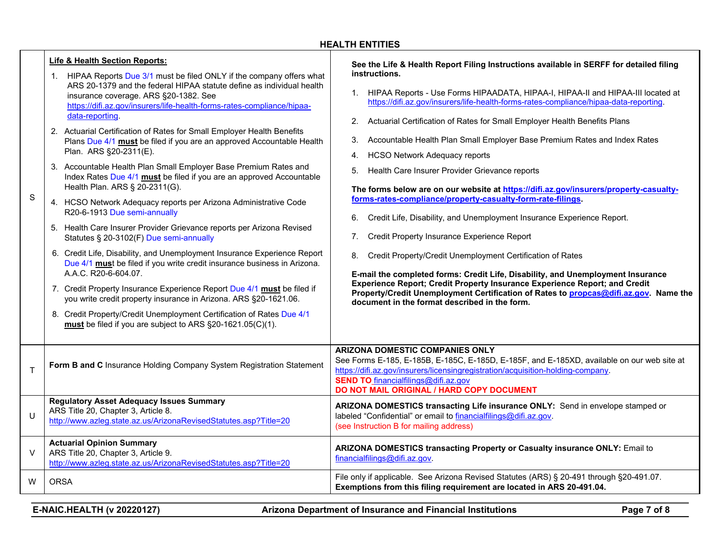| S      | Life & Health Section Reports:<br>1. HIPAA Reports Due 3/1 must be filed ONLY if the company offers what<br>ARS 20-1379 and the federal HIPAA statute define as individual health<br>insurance coverage. ARS §20-1382. See<br>https://difi.az.gov/insurers/life-health-forms-rates-compliance/hipaa-<br>data-reporting.<br>2. Actuarial Certification of Rates for Small Employer Health Benefits<br>Plans Due 4/1 must be filed if you are an approved Accountable Health<br>Plan. ARS §20-2311(E).<br>3. Accountable Health Plan Small Employer Base Premium Rates and<br>Index Rates Due 4/1 must be filed if you are an approved Accountable<br>Health Plan. ARS § 20-2311(G).<br>4. HCSO Network Adequacy reports per Arizona Administrative Code<br>R20-6-1913 Due semi-annually<br>5. Health Care Insurer Provider Grievance reports per Arizona Revised<br>Statutes § 20-3102(F) Due semi-annually<br>6. Credit Life, Disability, and Unemployment Insurance Experience Report<br>Due 4/1 must be filed if you write credit insurance business in Arizona.<br>A.A.C. R20-6-604.07.<br>7. Credit Property Insurance Experience Report Due 4/1 must be filed if<br>you write credit property insurance in Arizona. ARS §20-1621.06.<br>8. Credit Property/Credit Unemployment Certification of Rates Due 4/1<br>must be filed if you are subject to ARS §20-1621.05(C)(1). | See the Life & Health Report Filing Instructions available in SERFF for detailed filing<br>instructions.<br>1. HIPAA Reports - Use Forms HIPAADATA, HIPAA-I, HIPAA-II and HIPAA-III located at<br>https://difi.az.gov/insurers/life-health-forms-rates-compliance/hipaa-data-reporting.<br>Actuarial Certification of Rates for Small Employer Health Benefits Plans<br>2.<br>Accountable Health Plan Small Employer Base Premium Rates and Index Rates<br>3.<br><b>HCSO Network Adequacy reports</b><br>4.<br>5. Health Care Insurer Provider Grievance reports<br>The forms below are on our website at https://difi.az.gov/insurers/property-casualty-<br>forms-rates-compliance/property-casualty-form-rate-filings.<br>6. Credit Life, Disability, and Unemployment Insurance Experience Report.<br>Credit Property Insurance Experience Report<br>7.<br>Credit Property/Credit Unemployment Certification of Rates<br>8.<br>E-mail the completed forms: Credit Life, Disability, and Unemployment Insurance<br>Experience Report; Credit Property Insurance Experience Report; and Credit<br>Property/Credit Unemployment Certification of Rates to propcas@difi.az.gov. Name the<br>document in the format described in the form. |
|--------|----------------------------------------------------------------------------------------------------------------------------------------------------------------------------------------------------------------------------------------------------------------------------------------------------------------------------------------------------------------------------------------------------------------------------------------------------------------------------------------------------------------------------------------------------------------------------------------------------------------------------------------------------------------------------------------------------------------------------------------------------------------------------------------------------------------------------------------------------------------------------------------------------------------------------------------------------------------------------------------------------------------------------------------------------------------------------------------------------------------------------------------------------------------------------------------------------------------------------------------------------------------------------------------------------------------------------------------------------------------------------------|------------------------------------------------------------------------------------------------------------------------------------------------------------------------------------------------------------------------------------------------------------------------------------------------------------------------------------------------------------------------------------------------------------------------------------------------------------------------------------------------------------------------------------------------------------------------------------------------------------------------------------------------------------------------------------------------------------------------------------------------------------------------------------------------------------------------------------------------------------------------------------------------------------------------------------------------------------------------------------------------------------------------------------------------------------------------------------------------------------------------------------------------------------------------------------------------------------------------------------------|
| T      | Form B and C Insurance Holding Company System Registration Statement                                                                                                                                                                                                                                                                                                                                                                                                                                                                                                                                                                                                                                                                                                                                                                                                                                                                                                                                                                                                                                                                                                                                                                                                                                                                                                             | ARIZONA DOMESTIC COMPANIES ONLY<br>See Forms E-185, E-185B, E-185C, E-185D, E-185F, and E-185XD, available on our web site at<br>https://difi.az.gov/insurers/licensingregistration/acquisition-holding-company.<br><b>SEND TO</b> financialfilings@difi.az.gov<br>DO NOT MAIL ORIGINAL / HARD COPY DOCUMENT                                                                                                                                                                                                                                                                                                                                                                                                                                                                                                                                                                                                                                                                                                                                                                                                                                                                                                                             |
| $\cup$ | <b>Regulatory Asset Adequacy Issues Summary</b><br>ARS Title 20, Chapter 3, Article 8.<br>http://www.azleg.state.az.us/ArizonaRevisedStatutes.asp?Title=20                                                                                                                                                                                                                                                                                                                                                                                                                                                                                                                                                                                                                                                                                                                                                                                                                                                                                                                                                                                                                                                                                                                                                                                                                       | ARIZONA DOMESTICS transacting Life insurance ONLY: Send in envelope stamped or<br>labeled "Confidential" or email to financialfilings@difi.az.gov.<br>(see Instruction B for mailing address)                                                                                                                                                                                                                                                                                                                                                                                                                                                                                                                                                                                                                                                                                                                                                                                                                                                                                                                                                                                                                                            |
| V      | <b>Actuarial Opinion Summary</b><br>ARS Title 20, Chapter 3, Article 9.<br>http://www.azleg.state.az.us/ArizonaRevisedStatutes.asp?Title=20                                                                                                                                                                                                                                                                                                                                                                                                                                                                                                                                                                                                                                                                                                                                                                                                                                                                                                                                                                                                                                                                                                                                                                                                                                      | ARIZONA DOMESTICS transacting Property or Casualty insurance ONLY: Email to<br>financialfilings@difi.az.gov.                                                                                                                                                                                                                                                                                                                                                                                                                                                                                                                                                                                                                                                                                                                                                                                                                                                                                                                                                                                                                                                                                                                             |
| W      | <b>ORSA</b>                                                                                                                                                                                                                                                                                                                                                                                                                                                                                                                                                                                                                                                                                                                                                                                                                                                                                                                                                                                                                                                                                                                                                                                                                                                                                                                                                                      | File only if applicable. See Arizona Revised Statutes (ARS) § 20-491 through §20-491.07.<br>Exemptions from this filing requirement are located in ARS 20-491.04.                                                                                                                                                                                                                                                                                                                                                                                                                                                                                                                                                                                                                                                                                                                                                                                                                                                                                                                                                                                                                                                                        |

**E-NAIC.HEALTH (v 20220127) Arizona Department of Insurance and Financial Institutions Page 7 of 8**